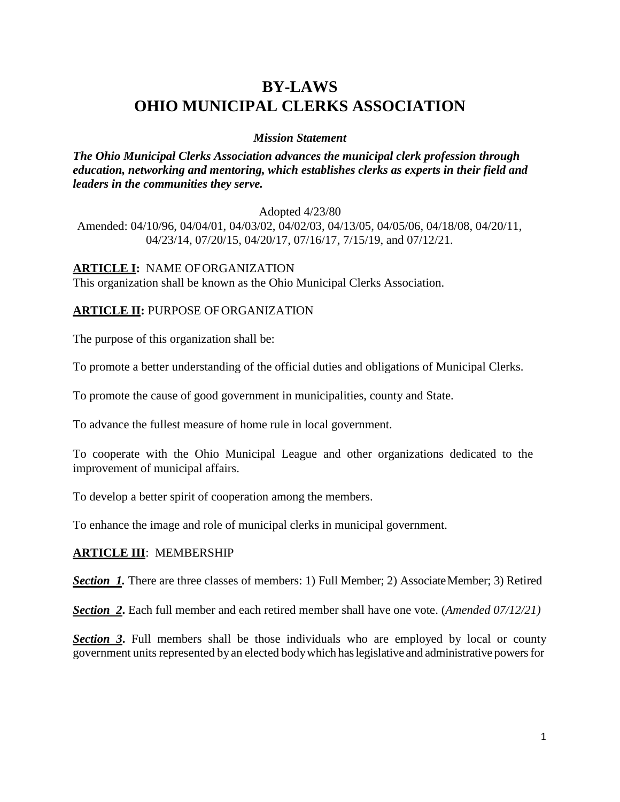# **BY-LAWS OHIO MUNICIPAL CLERKS ASSOCIATION**

#### *Mission Statement*

*The Ohio Municipal Clerks Association advances the municipal clerk profession through education, networking and mentoring, which establishes clerks as experts in their field and leaders in the communities they serve.*

#### Adopted 4/23/80

Amended: 04/10/96, 04/04/01, 04/03/02, 04/02/03, 04/13/05, 04/05/06, 04/18/08, 04/20/11, 04/23/14, 07/20/15, 04/20/17, 07/16/17, 7/15/19, and 07/12/21.

#### **ARTICLE I:** NAME OFORGANIZATION

This organization shall be known as the Ohio Municipal Clerks Association.

### **ARTICLE II:** PURPOSE OFORGANIZATION

The purpose of this organization shall be:

To promote a better understanding of the official duties and obligations of Municipal Clerks.

To promote the cause of good government in municipalities, county and State.

To advance the fullest measure of home rule in local government.

To cooperate with the Ohio Municipal League and other organizations dedicated to the improvement of municipal affairs.

To develop a better spirit of cooperation among the members.

To enhance the image and role of municipal clerks in municipal government.

### **ARTICLE III**: MEMBERSHIP

**Section** 1. There are three classes of members: 1) Full Member; 2) Associate Member; 3) Retired

*Section 2***.** Each full member and each retired member shall have one vote. (*Amended 07/12/21)*

*Section 3***.** Full members shall be those individuals who are employed by local or county government units represented by an elected body which has legislative and administrative powers for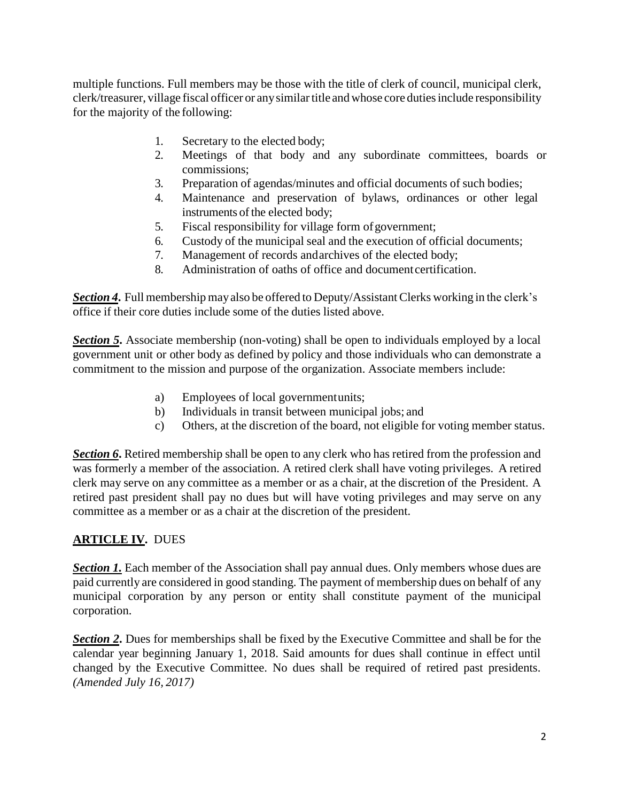multiple functions. Full members may be those with the title of clerk of council, municipal clerk, clerk/treasurer, village fiscal officer or any similar title and whose core duties include responsibility for the majority of the following:

- 1. Secretary to the elected body;
- 2. Meetings of that body and any subordinate committees, boards or commissions;
- 3. Preparation of agendas/minutes and official documents of such bodies;
- 4. Maintenance and preservation of bylaws, ordinances or other legal instruments of the elected body;
- 5. Fiscal responsibility for village form ofgovernment;
- 6. Custody of the municipal seal and the execution of official documents;
- 7. Management of records andarchives of the elected body;
- 8. Administration of oaths of office and document certification.

**Section 4.** Full membership may also be offered to Deputy/Assistant Clerks working in the clerk's office if their core duties include some of the duties listed above.

**Section 5.** Associate membership (non-voting) shall be open to individuals employed by a local government unit or other body as defined by policy and those individuals who can demonstrate a commitment to the mission and purpose of the organization. Associate members include:

- a) Employees of local governmentunits;
- b) Individuals in transit between municipal jobs; and
- c) Others, at the discretion of the board, not eligible for voting member status.

**Section 6.** Retired membership shall be open to any clerk who has retired from the profession and was formerly a member of the association. A retired clerk shall have voting privileges. A retired clerk may serve on any committee as a member or as a chair, at the discretion of the President. A retired past president shall pay no dues but will have voting privileges and may serve on any committee as a member or as a chair at the discretion of the president.

## **ARTICLE IV.** DUES

**Section 1.** Each member of the Association shall pay annual dues. Only members whose dues are paid currently are considered in good standing. The payment of membership dues on behalf of any municipal corporation by any person or entity shall constitute payment of the municipal corporation.

*Section 2***.** Dues for memberships shall be fixed by the Executive Committee and shall be for the calendar year beginning January 1, 2018. Said amounts for dues shall continue in effect until changed by the Executive Committee. No dues shall be required of retired past presidents. *(Amended July 16, 2017)*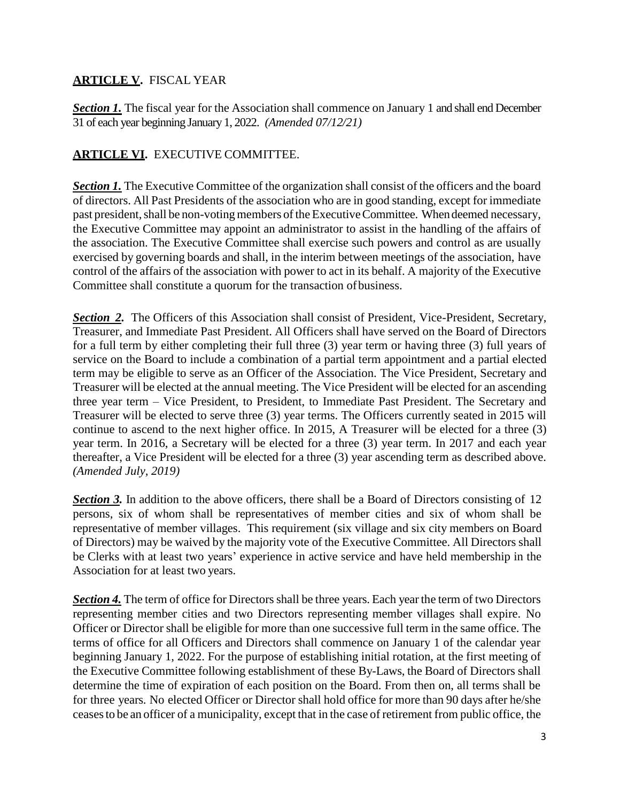## **ARTICLE V.** FISCAL YEAR

**Section 1.** The fiscal year for the Association shall commence on January 1 and shall end December 31 of each year beginning January 1, 2022. *(Amended 07/12/21)*

## **ARTICLE VI.** EXECUTIVE COMMITTEE.

**Section 1.** The Executive Committee of the organization shall consist of the officers and the board of directors. All Past Presidents of the association who are in good standing, except for immediate past president, shall be non-voting members of the Executive Committee. When deemed necessary, the Executive Committee may appoint an administrator to assist in the handling of the affairs of the association. The Executive Committee shall exercise such powers and control as are usually exercised by governing boards and shall, in the interim between meetings of the association, have control of the affairs of the association with power to act in its behalf. A majority of the Executive Committee shall constitute a quorum for the transaction ofbusiness.

**Section 2.** The Officers of this Association shall consist of President, Vice-President, Secretary, Treasurer, and Immediate Past President. All Officers shall have served on the Board of Directors for a full term by either completing their full three (3) year term or having three (3) full years of service on the Board to include a combination of a partial term appointment and a partial elected term may be eligible to serve as an Officer of the Association. The Vice President, Secretary and Treasurer will be elected at the annual meeting. The Vice President will be elected for an ascending three year term – Vice President, to President, to Immediate Past President. The Secretary and Treasurer will be elected to serve three (3) year terms. The Officers currently seated in 2015 will continue to ascend to the next higher office. In 2015, A Treasurer will be elected for a three (3) year term. In 2016, a Secretary will be elected for a three (3) year term. In 2017 and each year thereafter, a Vice President will be elected for a three (3) year ascending term as described above. *(Amended July, 2019)*

**Section 3.** In addition to the above officers, there shall be a Board of Directors consisting of 12 persons, six of whom shall be representatives of member cities and six of whom shall be representative of member villages. This requirement (six village and six city members on Board of Directors) may be waived by the majority vote of the Executive Committee. All Directors shall be Clerks with at least two years' experience in active service and have held membership in the Association for at least two years.

*Section 4.* The term of office for Directors shall be three years. Each year the term of two Directors representing member cities and two Directors representing member villages shall expire. No Officer or Director shall be eligible for more than one successive full term in the same office. The terms of office for all Officers and Directors shall commence on January 1 of the calendar year beginning January 1, 2022. For the purpose of establishing initial rotation, at the first meeting of the Executive Committee following establishment of these By-Laws, the Board of Directors shall determine the time of expiration of each position on the Board. From then on, all terms shall be for three years. No elected Officer or Director shall hold office for more than 90 days after he/she ceasesto be an officer of a municipality, except that in the case of retirement from public office, the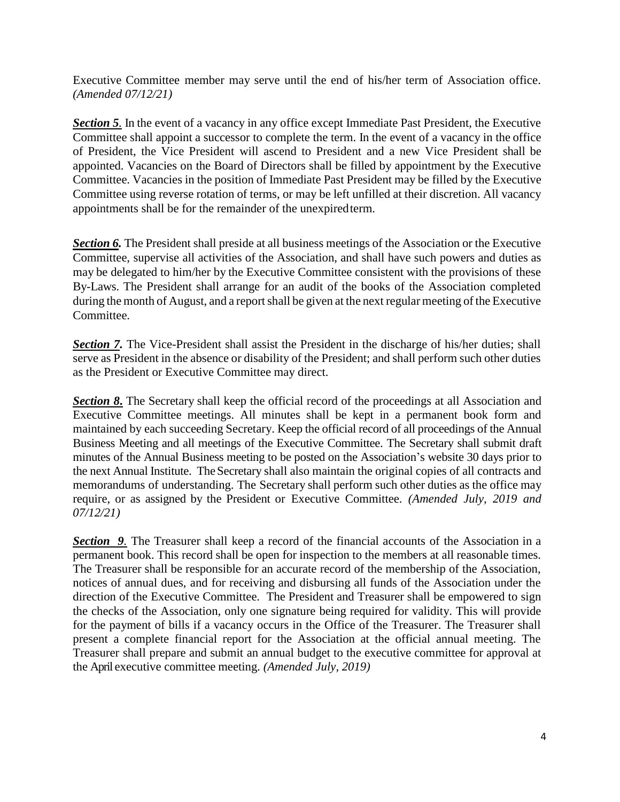Executive Committee member may serve until the end of his/her term of Association office. *(Amended 07/12/21)*

*Section 5.* In the event of a vacancy in any office except Immediate Past President, the Executive Committee shall appoint a successor to complete the term. In the event of a vacancy in the office of President, the Vice President will ascend to President and a new Vice President shall be appointed. Vacancies on the Board of Directors shall be filled by appointment by the Executive Committee. Vacancies in the position of Immediate Past President may be filled by the Executive Committee using reverse rotation of terms, or may be left unfilled at their discretion. All vacancy appointments shall be for the remainder of the unexpiredterm.

**Section 6.** The President shall preside at all business meetings of the Association or the Executive Committee, supervise all activities of the Association, and shall have such powers and duties as may be delegated to him/her by the Executive Committee consistent with the provisions of these By-Laws. The President shall arrange for an audit of the books of the Association completed during the month of August, and a report shall be given at the next regular meeting of the Executive Committee.

*Section 7.* The Vice-President shall assist the President in the discharge of his/her duties; shall serve as President in the absence or disability of the President; and shall perform such other duties as the President or Executive Committee may direct.

*Section 8***.** The Secretary shall keep the official record of the proceedings at all Association and Executive Committee meetings. All minutes shall be kept in a permanent book form and maintained by each succeeding Secretary. Keep the official record of all proceedings of the Annual Business Meeting and all meetings of the Executive Committee. The Secretary shall submit draft minutes of the Annual Business meeting to be posted on the Association's website 30 days prior to the next Annual Institute. The Secretary shall also maintain the original copies of all contracts and memorandums of understanding. The Secretary shall perform such other duties as the office may require, or as assigned by the President or Executive Committee. *(Amended July, 2019 and 07/12/21)*

*Section 9.* The Treasurer shall keep a record of the financial accounts of the Association in a permanent book. This record shall be open for inspection to the members at all reasonable times. The Treasurer shall be responsible for an accurate record of the membership of the Association, notices of annual dues, and for receiving and disbursing all funds of the Association under the direction of the Executive Committee. The President and Treasurer shall be empowered to sign the checks of the Association, only one signature being required for validity. This will provide for the payment of bills if a vacancy occurs in the Office of the Treasurer. The Treasurer shall present a complete financial report for the Association at the official annual meeting. The Treasurer shall prepare and submit an annual budget to the executive committee for approval at the April executive committee meeting. *(Amended July, 2019)*